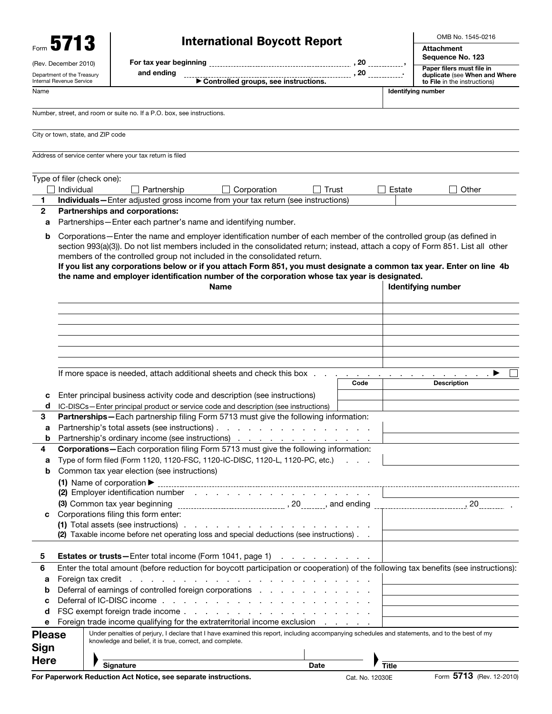|                | Form 5713                                              | <b>International Boycott Report</b>                                                                                                                                                                                                          |                 |              | OMB No. 1545-0216                                             |
|----------------|--------------------------------------------------------|----------------------------------------------------------------------------------------------------------------------------------------------------------------------------------------------------------------------------------------------|-----------------|--------------|---------------------------------------------------------------|
|                |                                                        |                                                                                                                                                                                                                                              |                 |              | <b>Attachment</b><br>Sequence No. 123                         |
|                | (Rev. December 2010)                                   |                                                                                                                                                                                                                                              |                 |              | Paper filers must file in                                     |
|                | Department of the Treasury<br>Internal Revenue Service | and ending                                                                                                                                                                                                                                   |                 |              | duplicate (see When and Where<br>to File in the instructions) |
| Name           |                                                        |                                                                                                                                                                                                                                              |                 |              | <b>Identifying number</b>                                     |
|                |                                                        |                                                                                                                                                                                                                                              |                 |              |                                                               |
|                |                                                        | Number, street, and room or suite no. If a P.O. box, see instructions.                                                                                                                                                                       |                 |              |                                                               |
|                | City or town, state, and ZIP code                      |                                                                                                                                                                                                                                              |                 |              |                                                               |
|                |                                                        | Address of service center where your tax return is filed                                                                                                                                                                                     |                 |              |                                                               |
|                |                                                        |                                                                                                                                                                                                                                              |                 |              |                                                               |
|                | Type of filer (check one):                             |                                                                                                                                                                                                                                              |                 |              |                                                               |
|                | Individual                                             | Partnership<br>Corporation<br>Trust                                                                                                                                                                                                          |                 | Estate       | Other                                                         |
| 1              |                                                        | Individuals-Enter adjusted gross income from your tax return (see instructions)                                                                                                                                                              |                 |              |                                                               |
| $\overline{2}$ |                                                        | <b>Partnerships and corporations:</b>                                                                                                                                                                                                        |                 |              |                                                               |
| a              |                                                        | Partnerships-Enter each partner's name and identifying number.                                                                                                                                                                               |                 |              |                                                               |
| b              |                                                        | Corporations-Enter the name and employer identification number of each member of the controlled group (as defined in                                                                                                                         |                 |              |                                                               |
|                |                                                        | section 993(a)(3)). Do not list members included in the consolidated return; instead, attach a copy of Form 851. List all other                                                                                                              |                 |              |                                                               |
|                |                                                        | members of the controlled group not included in the consolidated return.                                                                                                                                                                     |                 |              |                                                               |
|                |                                                        | If you list any corporations below or if you attach Form 851, you must designate a common tax year. Enter on line 4b                                                                                                                         |                 |              |                                                               |
|                |                                                        | the name and employer identification number of the corporation whose tax year is designated.                                                                                                                                                 |                 |              |                                                               |
|                |                                                        | Name                                                                                                                                                                                                                                         |                 |              | <b>Identifying number</b>                                     |
|                |                                                        |                                                                                                                                                                                                                                              |                 |              |                                                               |
|                |                                                        |                                                                                                                                                                                                                                              |                 |              |                                                               |
|                |                                                        |                                                                                                                                                                                                                                              |                 |              |                                                               |
|                |                                                        |                                                                                                                                                                                                                                              |                 |              |                                                               |
|                |                                                        |                                                                                                                                                                                                                                              |                 |              |                                                               |
|                |                                                        |                                                                                                                                                                                                                                              |                 |              |                                                               |
|                |                                                        |                                                                                                                                                                                                                                              |                 |              |                                                               |
|                |                                                        | If more space is needed, attach additional sheets and check this box.                                                                                                                                                                        |                 |              | ▸                                                             |
|                |                                                        |                                                                                                                                                                                                                                              | Code            |              | <b>Description</b>                                            |
| c              |                                                        | Enter principal business activity code and description (see instructions)                                                                                                                                                                    |                 |              |                                                               |
| d              |                                                        | IC-DISCs-Enter principal product or service code and description (see instructions)                                                                                                                                                          |                 |              |                                                               |
| 3              |                                                        | Partnerships-Each partnership filing Form 5713 must give the following information:                                                                                                                                                          |                 |              |                                                               |
| a              |                                                        | Partnership's total assets (see instructions)                                                                                                                                                                                                |                 |              |                                                               |
| b              |                                                        | Partnership's ordinary income (see instructions)                                                                                                                                                                                             |                 |              |                                                               |
| 4              |                                                        | Corporations-Each corporation filing Form 5713 must give the following information:                                                                                                                                                          |                 |              |                                                               |
| а              |                                                        | Type of form filed (Form 1120, 1120-FSC, 1120-IC-DISC, 1120-L, 1120-PC, etc.)                                                                                                                                                                |                 |              |                                                               |
| b              |                                                        | Common tax year election (see instructions)                                                                                                                                                                                                  |                 |              |                                                               |
|                |                                                        |                                                                                                                                                                                                                                              |                 |              |                                                               |
|                |                                                        | (1) Name of corporation $\blacktriangleright$ [100] [100] [100] [100] [100] [100] [100] [100] [100] [100] [100] [100] [100] [100] [100] [100] [100] [100] [100] [100] [100] [100] [100] [100] [100] [100] [100] [100] [100] [100] [100] [100 |                 |              |                                                               |
|                |                                                        |                                                                                                                                                                                                                                              |                 |              |                                                               |
| с              |                                                        | Corporations filing this form enter:                                                                                                                                                                                                         |                 |              |                                                               |
|                |                                                        | (1) Total assets (see instructions) $\cdots$ $\cdots$ $\cdots$ $\cdots$ $\cdots$ $\cdots$ $\cdots$ $\cdots$                                                                                                                                  |                 |              |                                                               |
|                |                                                        | (2) Taxable income before net operating loss and special deductions (see instructions). .                                                                                                                                                    |                 |              |                                                               |
|                |                                                        |                                                                                                                                                                                                                                              |                 |              |                                                               |
| 5              |                                                        | <b>Estates or trusts</b> —Enter total income (Form 1041, page 1)                                                                                                                                                                             |                 |              |                                                               |
| 6              |                                                        | Enter the total amount (before reduction for boycott participation or cooperation) of the following tax benefits (see instructions):                                                                                                         |                 |              |                                                               |
| а              |                                                        |                                                                                                                                                                                                                                              |                 |              |                                                               |
| b              |                                                        | Deferral of earnings of controlled foreign corporations enterstanding to the control of the property of the Deferred Superior and Deferred Superior of the Defendance of the Defendance of the Defendance of the Defendance of               |                 |              |                                                               |
| с              |                                                        |                                                                                                                                                                                                                                              |                 |              |                                                               |
| d              |                                                        |                                                                                                                                                                                                                                              |                 |              |                                                               |
| е              |                                                        | Foreign trade income qualifying for the extraterritorial income exclusion                                                                                                                                                                    |                 |              |                                                               |
|                |                                                        |                                                                                                                                                                                                                                              |                 |              |                                                               |
| <b>Please</b>  |                                                        | Under penalties of perjury, I declare that I have examined this report, including accompanying schedules and statements, and to the best of my<br>knowledge and belief, it is true, correct, and complete.                                   |                 |              |                                                               |
| Sign           |                                                        |                                                                                                                                                                                                                                              |                 |              |                                                               |
| <b>Here</b>    |                                                        |                                                                                                                                                                                                                                              |                 |              |                                                               |
|                |                                                        | <b>Signature</b><br>Date                                                                                                                                                                                                                     |                 | <b>Title</b> |                                                               |
|                |                                                        | For Paperwork Reduction Act Notice, see separate instructions.                                                                                                                                                                               | Cat. No. 12030E |              | Form 5713 (Rev. 12-2010)                                      |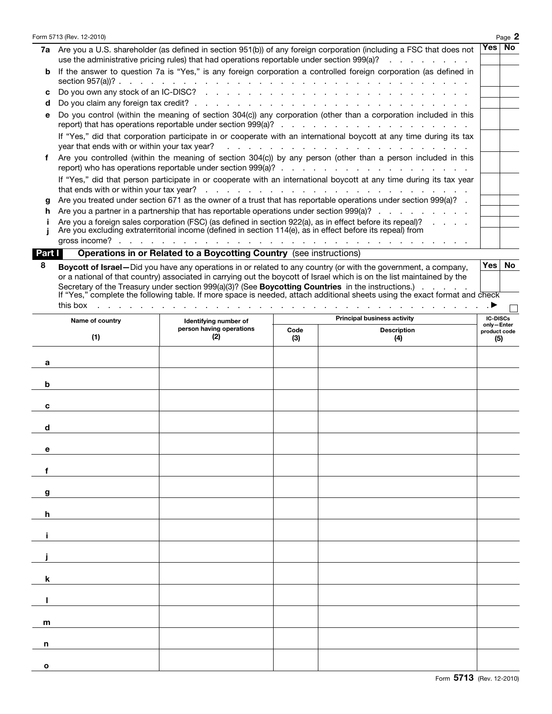|        | Form 5713 (Rev. 12-2010)                     |                                                                                                            |      |                                                                                                                                                                                                                                    |                            | Page 2 |
|--------|----------------------------------------------|------------------------------------------------------------------------------------------------------------|------|------------------------------------------------------------------------------------------------------------------------------------------------------------------------------------------------------------------------------------|----------------------------|--------|
|        |                                              |                                                                                                            |      | 7a Are you a U.S. shareholder (as defined in section 951(b)) of any foreign corporation (including a FSC that does not<br>use the administrative pricing rules) that had operations reportable under section 999(a)?               | Yes                        | No     |
| b      |                                              |                                                                                                            |      | If the answer to question 7a is "Yes," is any foreign corporation a controlled foreign corporation (as defined in                                                                                                                  |                            |        |
| c      |                                              |                                                                                                            |      |                                                                                                                                                                                                                                    |                            |        |
| d      |                                              |                                                                                                            |      |                                                                                                                                                                                                                                    |                            |        |
| е      |                                              |                                                                                                            |      | Do you control (within the meaning of section 304(c)) any corporation (other than a corporation included in this                                                                                                                   |                            |        |
|        | year that ends with or within your tax year? |                                                                                                            |      | If "Yes," did that corporation participate in or cooperate with an international boycott at any time during its tax<br>المتحدث والمتحدث والمتحدث والمتحدث والمتحدث والمتحدث والمتحدث                                               |                            |        |
| f      |                                              |                                                                                                            |      | Are you controlled (within the meaning of section 304(c)) by any person (other than a person included in this                                                                                                                      |                            |        |
|        |                                              |                                                                                                            |      | If "Yes," did that person participate in or cooperate with an international boycott at any time during its tax year                                                                                                                |                            |        |
|        |                                              |                                                                                                            |      |                                                                                                                                                                                                                                    |                            |        |
| g      |                                              |                                                                                                            |      | Are you treated under section 671 as the owner of a trust that has reportable operations under section 999(a)?<br>Are you a partner in a partnership that has reportable operations under section 999(a)?                          |                            |        |
| h      |                                              |                                                                                                            |      | Are you a foreign sales corporation (FSC) (as defined in section 922(a), as in effect before its repeal)?                                                                                                                          |                            |        |
|        | gross income?                                | Are you excluding extraterritorial income (defined in section 114(e), as in effect before its repeal) from |      | and the contract of the contract of the contract of the contract of the contract of the contract of                                                                                                                                |                            |        |
| Part I |                                              | Operations in or Related to a Boycotting Country (see instructions)                                        |      |                                                                                                                                                                                                                                    |                            |        |
| 8      |                                              |                                                                                                            |      | Boycott of Israel-Did you have any operations in or related to any country (or with the government, a company,                                                                                                                     | Yes                        | No     |
|        |                                              |                                                                                                            |      | or a national of that country) associated in carrying out the boycott of Israel which is on the list maintained by the                                                                                                             |                            |        |
|        |                                              |                                                                                                            |      | Secretary of the Treasury under section 999(a)(3)? (See Boycotting Countries in the instructions.) .<br>If "Yes," complete the following table. If more space is needed, attach additional sheets using the exact format and check |                            |        |
|        | this box                                     |                                                                                                            |      | المتابعة والمتابعة والمتابعة والمتابعة والمتابعة والمتابعة والمتابعة والمتابعة والمتابعة والمتابعة والمتابعة والمتابعة                                                                                                             |                            |        |
|        | Name of country                              |                                                                                                            |      | <b>Principal business activity</b>                                                                                                                                                                                                 | <b>IC-DISCs</b>            |        |
|        |                                              | Identifying number of<br>person having operations                                                          | Code | <b>Description</b>                                                                                                                                                                                                                 | only-Enter<br>product code |        |
|        | (1)                                          | (2)                                                                                                        | (3)  | (4)                                                                                                                                                                                                                                |                            | (5)    |
| a      |                                              |                                                                                                            |      |                                                                                                                                                                                                                                    |                            |        |
| b      |                                              |                                                                                                            |      |                                                                                                                                                                                                                                    |                            |        |
| c      |                                              |                                                                                                            |      |                                                                                                                                                                                                                                    |                            |        |
| d      |                                              |                                                                                                            |      |                                                                                                                                                                                                                                    |                            |        |
| е      |                                              |                                                                                                            |      |                                                                                                                                                                                                                                    |                            |        |
| f      |                                              |                                                                                                            |      |                                                                                                                                                                                                                                    |                            |        |
| g      |                                              |                                                                                                            |      |                                                                                                                                                                                                                                    |                            |        |
| h      |                                              |                                                                                                            |      |                                                                                                                                                                                                                                    |                            |        |
|        |                                              |                                                                                                            |      |                                                                                                                                                                                                                                    |                            |        |
|        |                                              |                                                                                                            |      |                                                                                                                                                                                                                                    |                            |        |
|        |                                              |                                                                                                            |      |                                                                                                                                                                                                                                    |                            |        |
| k      |                                              |                                                                                                            |      |                                                                                                                                                                                                                                    |                            |        |
|        |                                              |                                                                                                            |      |                                                                                                                                                                                                                                    |                            |        |
| m      |                                              |                                                                                                            |      |                                                                                                                                                                                                                                    |                            |        |
| n      |                                              |                                                                                                            |      |                                                                                                                                                                                                                                    |                            |        |
|        |                                              |                                                                                                            |      |                                                                                                                                                                                                                                    |                            |        |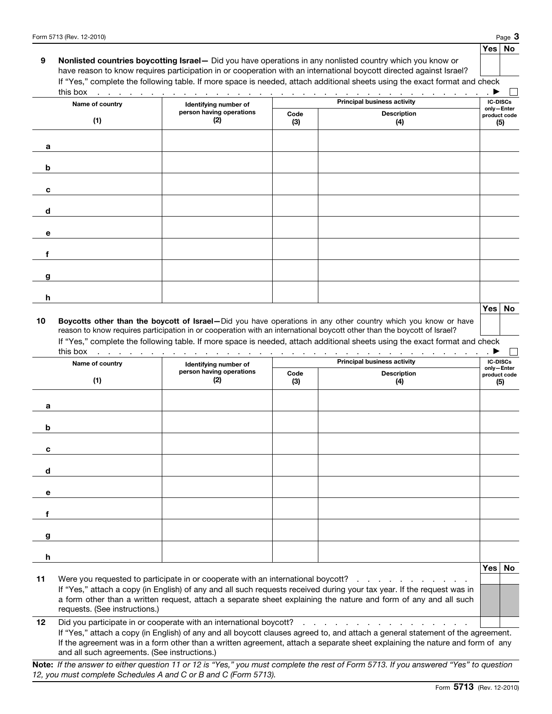## Yes No 9 Nonlisted countries boycotting Israel - Did you have operations in any nonlisted country which you know or have reason to know requires participation in or cooperation with an international boycott directed against Israel? If "Yes," complete the following table. If more space is needed, attach additional sheets using the exact format and check

| Name of country |                             | Identifying number of           |             | <b>IC-DISCs</b>                                                                                                                                                                                                                                                                                                                                                        |                                                          |
|-----------------|-----------------------------|---------------------------------|-------------|------------------------------------------------------------------------------------------------------------------------------------------------------------------------------------------------------------------------------------------------------------------------------------------------------------------------------------------------------------------------|----------------------------------------------------------|
|                 | (1)                         | person having operations<br>(2) | Code<br>(3) | <b>Description</b><br>(4)                                                                                                                                                                                                                                                                                                                                              | only-Enter<br>product code<br>(5)                        |
| a               |                             |                                 |             |                                                                                                                                                                                                                                                                                                                                                                        |                                                          |
|                 |                             |                                 |             |                                                                                                                                                                                                                                                                                                                                                                        |                                                          |
| b               |                             |                                 |             |                                                                                                                                                                                                                                                                                                                                                                        |                                                          |
| c               |                             |                                 |             |                                                                                                                                                                                                                                                                                                                                                                        |                                                          |
| d               |                             |                                 |             |                                                                                                                                                                                                                                                                                                                                                                        |                                                          |
| е               |                             |                                 |             |                                                                                                                                                                                                                                                                                                                                                                        |                                                          |
| f               |                             |                                 |             |                                                                                                                                                                                                                                                                                                                                                                        |                                                          |
| g               |                             |                                 |             |                                                                                                                                                                                                                                                                                                                                                                        |                                                          |
| h               |                             |                                 |             |                                                                                                                                                                                                                                                                                                                                                                        |                                                          |
|                 |                             |                                 |             |                                                                                                                                                                                                                                                                                                                                                                        | $Yes \mid No$                                            |
|                 |                             |                                 |             | Boycotts other than the boycott of Israel-Did you have operations in any other country which you know or have<br>reason to know requires participation in or cooperation with an international boycott other than the boycott of Israel?<br>If "Yes," complete the following table. If more space is needed, attach additional sheets using the exact format and check |                                                          |
| 10              | this box<br>Name of country | Identifying number of           |             | فالقاط القاطاط القاطاط القاطاط القاطاط القاطاط القاطاط القاطاط القاطاط القاطاط القاطاط القاطاط القاطاط القاطاط<br><b>Principal business activity</b>                                                                                                                                                                                                                   | . $\blacktriangleright$<br><b>IC-DISCs</b><br>only-Enter |
|                 | (1)                         | person having operations<br>(2) | Code<br>(3) | <b>Description</b><br>(4)                                                                                                                                                                                                                                                                                                                                              | product code<br>(5)                                      |
| а               |                             |                                 |             |                                                                                                                                                                                                                                                                                                                                                                        |                                                          |
| b               |                             |                                 |             |                                                                                                                                                                                                                                                                                                                                                                        |                                                          |
| c               |                             |                                 |             |                                                                                                                                                                                                                                                                                                                                                                        |                                                          |
| d               |                             |                                 |             |                                                                                                                                                                                                                                                                                                                                                                        |                                                          |
| е               |                             |                                 |             |                                                                                                                                                                                                                                                                                                                                                                        |                                                          |
|                 |                             |                                 |             |                                                                                                                                                                                                                                                                                                                                                                        |                                                          |
| f               |                             |                                 |             |                                                                                                                                                                                                                                                                                                                                                                        |                                                          |
| g               |                             |                                 |             |                                                                                                                                                                                                                                                                                                                                                                        |                                                          |
| h               |                             |                                 |             |                                                                                                                                                                                                                                                                                                                                                                        | Yes <br>No                                               |

12 Did you participate in or cooperate with an international boycott? . . . . . . . . . . . . . . . . . .

requests. (See instructions.)

If "Yes," attach a copy (in English) of any and all boycott clauses agreed to, and attach a general statement of the agreement. If the agreement was in a form other than a written agreement, attach a separate sheet explaining the nature and form of any and all such agreements. (See instructions.)

Note: *If the answer to either question 11 or 12 is "Yes," you must complete the rest of Form 5713. If you answered "Yes" to question 12, you must complete Schedules A and C or B and C (Form 5713).*